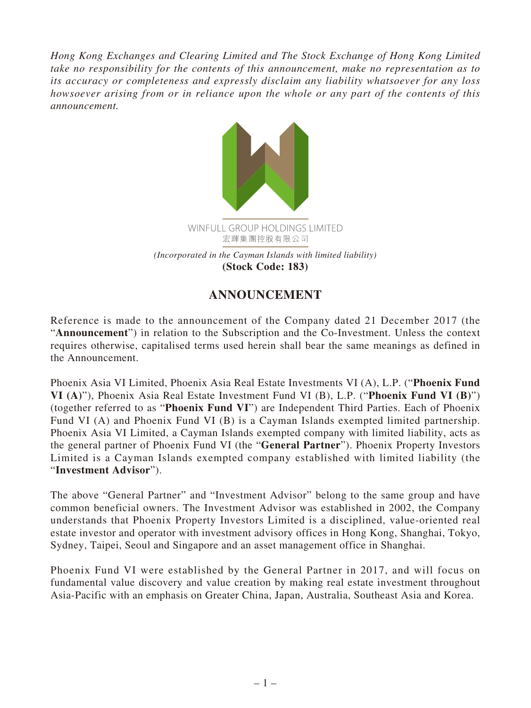*Hong Kong Exchanges and Clearing Limited and The Stock Exchange of Hong Kong Limited take no responsibility for the contents of this announcement, make no representation as to its accuracy or completeness and expressly disclaim any liability whatsoever for any loss howsoever arising from or in reliance upon the whole or any part of the contents of this announcement.*



## **ANNOUNCEMENT**

Reference is made to the announcement of the Company dated 21 December 2017 (the "**Announcement**") in relation to the Subscription and the Co-Investment. Unless the context requires otherwise, capitalised terms used herein shall bear the same meanings as defined in the Announcement.

Phoenix Asia VI Limited, Phoenix Asia Real Estate Investments VI (A), L.P. ("**Phoenix Fund VI (A)**"), Phoenix Asia Real Estate Investment Fund VI (B), L.P. ("**Phoenix Fund VI (B)**") (together referred to as "**Phoenix Fund VI**") are Independent Third Parties. Each of Phoenix Fund VI (A) and Phoenix Fund VI (B) is a Cayman Islands exempted limited partnership. Phoenix Asia VI Limited, a Cayman Islands exempted company with limited liability, acts as the general partner of Phoenix Fund VI (the "**General Partner**"). Phoenix Property Investors Limited is a Cayman Islands exempted company established with limited liability (the "**Investment Advisor**").

The above "General Partner" and "Investment Advisor" belong to the same group and have common beneficial owners. The Investment Advisor was established in 2002, the Company understands that Phoenix Property Investors Limited is a disciplined, value-oriented real estate investor and operator with investment advisory offices in Hong Kong, Shanghai, Tokyo, Sydney, Taipei, Seoul and Singapore and an asset management office in Shanghai.

Phoenix Fund VI were established by the General Partner in 2017, and will focus on fundamental value discovery and value creation by making real estate investment throughout Asia-Pacific with an emphasis on Greater China, Japan, Australia, Southeast Asia and Korea.